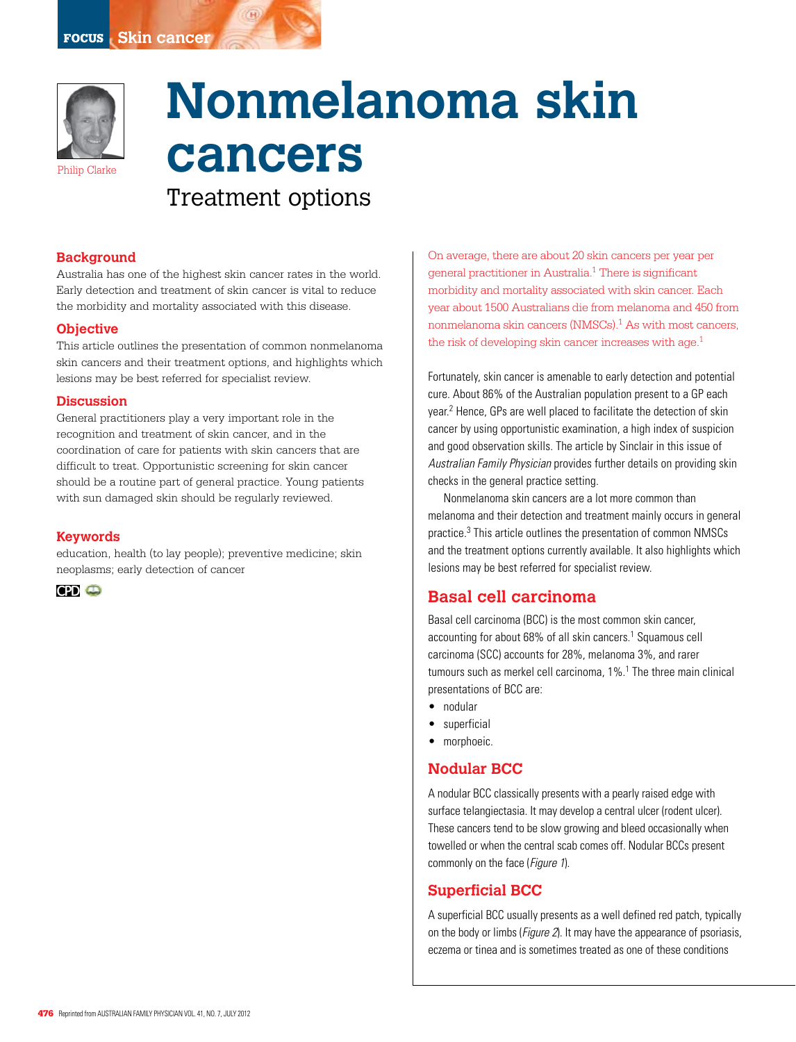

# **Nonmelanoma skin cancers** Treatment options

#### **Background**

Australia has one of the highest skin cancer rates in the world. Early detection and treatment of skin cancer is vital to reduce the morbidity and mortality associated with this disease.

#### **Objective**

This article outlines the presentation of common nonmelanoma skin cancers and their treatment options, and highlights which lesions may be best referred for specialist review.

#### **Discussion**

General practitioners play a very important role in the recognition and treatment of skin cancer, and in the coordination of care for patients with skin cancers that are difficult to treat. Opportunistic screening for skin cancer should be a routine part of general practice. Young patients with sun damaged skin should be regularly reviewed.

#### **Keywords**

education, health (to lay people); preventive medicine; skin neoplasms; early detection of cancer

**CPD** 

On average, there are about 20 skin cancers per year per general practitioner in Australia.1 There is significant morbidity and mortality associated with skin cancer. Each year about 1500 Australians die from melanoma and 450 from nonmelanoma skin cancers (NMSCs).<sup>1</sup> As with most cancers, the risk of developing skin cancer increases with age.<sup>1</sup>

Fortunately, skin cancer is amenable to early detection and potential cure. About 86% of the Australian population present to a GP each year.2 Hence, GPs are well placed to facilitate the detection of skin cancer by using opportunistic examination, a high index of suspicion and good observation skills. The article by Sinclair in this issue of Australian Family Physician provides further details on providing skin checks in the general practice setting.

Nonmelanoma skin cancers are a lot more common than melanoma and their detection and treatment mainly occurs in general practice.3 This article outlines the presentation of common NMSCs and the treatment options currently available. It also highlights which lesions may be best referred for specialist review.

# **Basal cell carcinoma**

Basal cell carcinoma (BCC) is the most common skin cancer, accounting for about 68% of all skin cancers.<sup>1</sup> Squamous cell carcinoma (SCC) accounts for 28%, melanoma 3%, and rarer tumours such as merkel cell carcinoma, 1%.<sup>1</sup> The three main clinical presentations of BCC are:

- • nodular
- • superficial
- morphoeic.

## **Nodular BCC**

A nodular BCC classically presents with a pearly raised edge with surface telangiectasia. It may develop a central ulcer (rodent ulcer). These cancers tend to be slow growing and bleed occasionally when towelled or when the central scab comes off. Nodular BCCs present commonly on the face (Figure 1).

## **Superficial BCC**

A superficial BCC usually presents as a well defined red patch, typically on the body or limbs (Figure 2). It may have the appearance of psoriasis, eczema or tinea and is sometimes treated as one of these conditions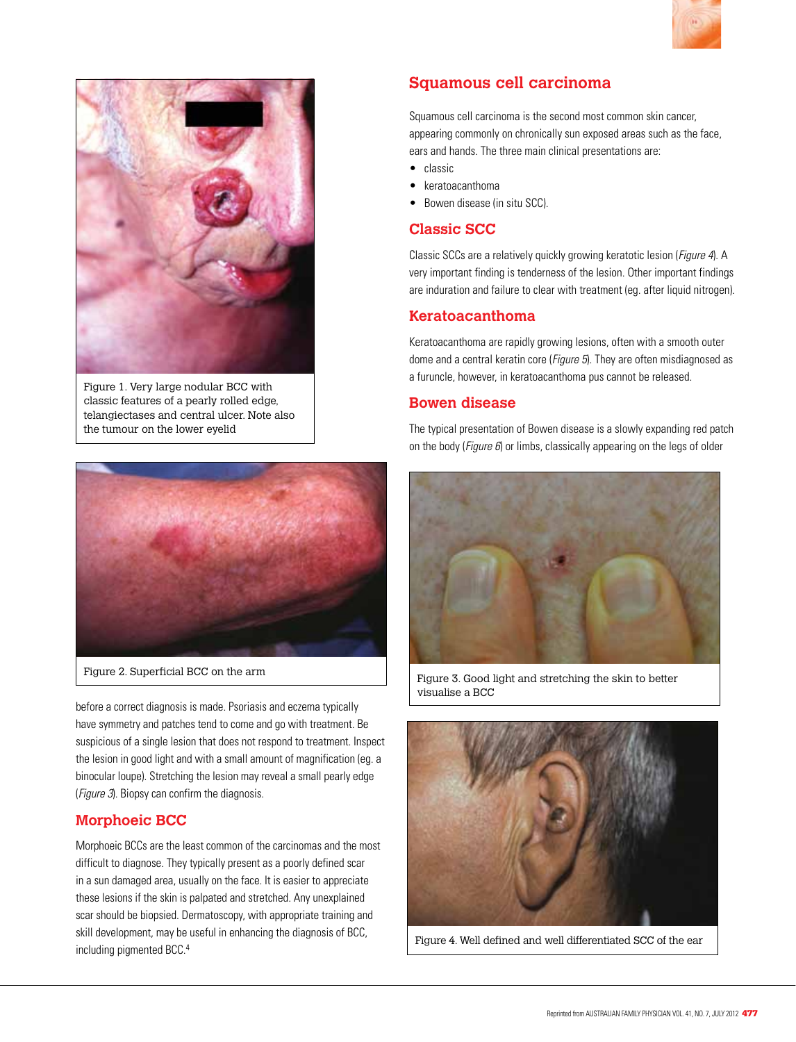



Figure 1. Very large nodular BCC with classic features of a pearly rolled edge, telangiectases and central ulcer. Note also the tumour on the lower eyelid



before a correct diagnosis is made. Psoriasis and eczema typically have symmetry and patches tend to come and go with treatment. Be suspicious of a single lesion that does not respond to treatment. Inspect the lesion in good light and with a small amount of magnification (eg. a binocular loupe). Stretching the lesion may reveal a small pearly edge (*Figure 3*). Biopsy can confirm the diagnosis.

# **Morphoeic BCC**

Morphoeic BCCs are the least common of the carcinomas and the most difficult to diagnose. They typically present as a poorly defined scar in a sun damaged area, usually on the face. It is easier to appreciate these lesions if the skin is palpated and stretched. Any unexplained scar should be biopsied. Dermatoscopy, with appropriate training and skill development, may be useful in enhancing the diagnosis of BCC, including pigmented BCC. 4

# **Squamous cell carcinoma**

Squamous cell carcinoma is the second most common skin cancer, appearing commonly on chronically sun exposed areas such as the face, ears and hands. The three main clinical presentations are:

- classic
- • keratoacanthoma
- Bowen disease (in situ SCC).

## **Classic SCC**

Classic SCCs are a relatively quickly growing keratotic lesion (Figure 4). A very important finding is tenderness of the lesion. Other important findings are induration and failure to clear with treatment (eg. after liquid nitrogen).

## **Keratoacanthoma**

Keratoacanthoma are rapidly growing lesions, often with a smooth outer dome and a central keratin core (*Figure 5*). They are often misdiagnosed as a furuncle, however, in keratoacanthoma pus cannot be released.

## **Bowen disease**

The typical presentation of Bowen disease is a slowly expanding red patch on the body (Figure  $6$ ) or limbs, classically appearing on the legs of older



Figure 2. Superficial BCC on the arm Figure 3. Good light and stretching the skin to better visualise a BCC



Figure 4. Well defined and well differentiated SCC of the ear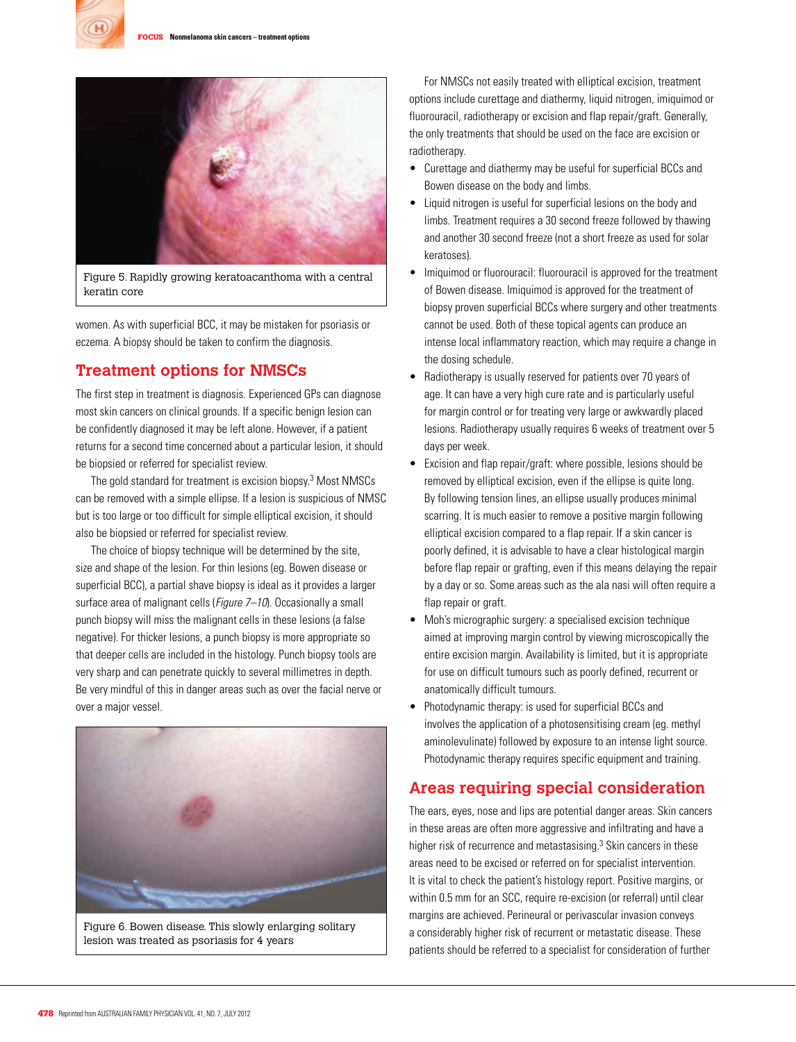



Figure 5. Rapidly growing keratoacanthoma with a central keratin core

women. As with superficial BCC, it may be mistaken for psoriasis or eczema. A biopsy should be taken to confirm the diagnosis.

# **Treatment options for NMSCs**

The first step in treatment is diagnosis. Experienced GPs can diagnose most skin cancers on clinical grounds. If a specific benign lesion can be confidently diagnosed it may be left alone. However, if a patient returns for a second time concerned about a particular lesion, it should be biopsied or referred for specialist review.

The gold standard for treatment is excision biopsy.3 Most NMSCs can be removed with a simple ellipse. If a lesion is suspicious of NMSC but is too large or too difficult for simple elliptical excision, it should also be biopsied or referred for specialist review.

The choice of biopsy technique will be determined by the site, size and shape of the lesion. For thin lesions (eg. Bowen disease or superficial BCC), a partial shave biopsy is ideal as it provides a larger surface area of malignant cells (*Figure 7–10*). Occasionally a small punch biopsy will miss the malignant cells in these lesions (a false negative). For thicker lesions, a punch biopsy is more appropriate so that deeper cells are included in the histology. Punch biopsy tools are very sharp and can penetrate quickly to several millimetres in depth. Be very mindful of this in danger areas such as over the facial nerve or over a major vessel.



Figure 6. Bowen disease. This slowly enlarging solitary lesion was treated as psoriasis for 4 years

For NMSCs not easily treated with elliptical excision, treatment options include curettage and diathermy, liquid nitrogen, imiquimod or fluorouracil, radiotherapy or excision and flap repair/graft. Generally, the only treatments that should be used on the face are excision or radiotherapy.

- • Curettage and diathermy may be useful for superficial BCCs and Bowen disease on the body and limbs.
- Liquid nitrogen is useful for superficial lesions on the body and limbs. Treatment requires a 30 second freeze followed by thawing and another 30 second freeze (not a short freeze as used for solar keratoses).
- Imiguimod or fluorouracil: fluorouracil is approved for the treatment of Bowen disease. Imiquimod is approved for the treatment of biopsy proven superficial BCCs where surgery and other treatments cannot be used. Both of these topical agents can produce an intense local inflammatory reaction, which may require a change in the dosing schedule.
- Radiotherapy is usually reserved for patients over 70 years of age. It can have a very high cure rate and is particularly useful for margin control or for treating very large or awkwardly placed lesions. Radiotherapy usually requires 6 weeks of treatment over 5 days per week.
- Excision and flap repair/graft: where possible, lesions should be removed by elliptical excision, even if the ellipse is quite long. By following tension lines, an ellipse usually produces minimal scarring. It is much easier to remove a positive margin following elliptical excision compared to a flap repair. If a skin cancer is poorly defined, it is advisable to have a clear histological margin before flap repair or grafting, even if this means delaying the repair by a day or so. Some areas such as the ala nasi will often require a flap repair or graft.
- Moh's micrographic surgery: a specialised excision technique aimed at improving margin control by viewing microscopically the entire excision margin. Availability is limited, but it is appropriate for use on difficult tumours such as poorly defined, recurrent or anatomically difficult tumours.
- Photodynamic therapy: is used for superficial BCCs and involves the application of a photosensitising cream (eg. methyl aminolevulinate) followed by exposure to an intense light source. Photodynamic therapy requires specific equipment and training.

# **Areas requiring special consideration**

The ears, eyes, nose and lips are potential danger areas. Skin cancers in these areas are often more aggressive and infiltrating and have a higher risk of recurrence and metastasising.<sup>3</sup> Skin cancers in these areas need to be excised or referred on for specialist intervention. It is vital to check the patient's histology report. Positive margins, or within 0.5 mm for an SCC, require re-excision (or referral) until clear margins are achieved. Perineural or perivascular invasion conveys a considerably higher risk of recurrent or metastatic disease. These patients should be referred to a specialist for consideration of further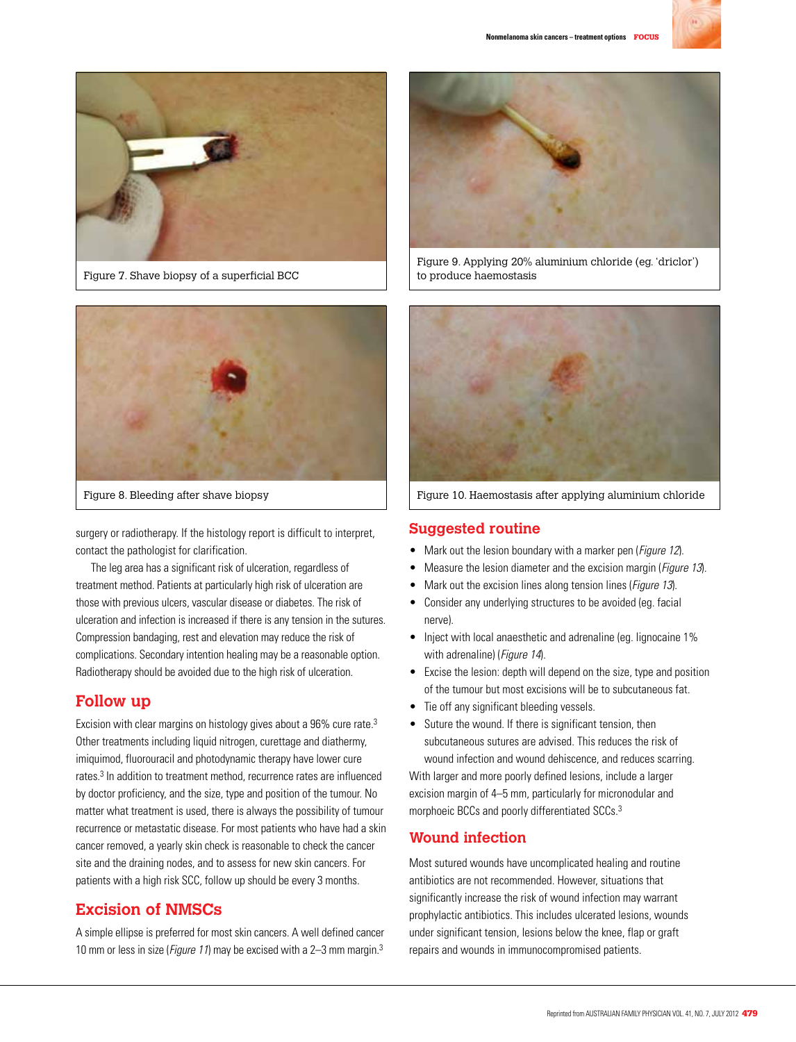



Figure 7. Shave biopsy of a superficial BCC



Figure 8. Bleeding after shave biopsy

surgery or radiotherapy. If the histology report is difficult to interpret, contact the pathologist for clarification.

The leg area has a significant risk of ulceration, regardless of treatment method. Patients at particularly high risk of ulceration are those with previous ulcers, vascular disease or diabetes. The risk of ulceration and infection is increased if there is any tension in the sutures. Compression bandaging, rest and elevation may reduce the risk of complications. Secondary intention healing may be a reasonable option. Radiotherapy should be avoided due to the high risk of ulceration.

# **Follow up**

Excision with clear margins on histology gives about a 96% cure rate.<sup>3</sup> Other treatments including liquid nitrogen, curettage and diathermy, imiquimod, fluorouracil and photodynamic therapy have lower cure rates.3 In addition to treatment method, recurrence rates are influenced by doctor proficiency, and the size, type and position of the tumour. No matter what treatment is used, there is always the possibility of tumour recurrence or metastatic disease. For most patients who have had a skin cancer removed, a yearly skin check is reasonable to check the cancer site and the draining nodes, and to assess for new skin cancers. For patients with a high risk SCC, follow up should be every 3 months.

# **Excision of NMSCs**

A simple ellipse is preferred for most skin cancers. A well defined cancer 10 mm or less in size (Figure 11) may be excised with a 2-3 mm margin.<sup>3</sup>



Figure 9. Applying 20% aluminium chloride (eg. 'driclor') to produce haemostasis



Figure 10. Haemostasis after applying aluminium chloride

## **Suggested routine**

- Mark out the lesion boundary with a marker pen (*Figure 12*).
- Measure the lesion diameter and the excision margin (*Figure 13*).
- Mark out the excision lines along tension lines (*Figure 13*).
- Consider any underlying structures to be avoided (eg. facial nerve).
- Inject with local anaesthetic and adrenaline (eg. lignocaine 1%) with adrenaline) (Figure 14).
- Excise the lesion: depth will depend on the size, type and position of the tumour but most excisions will be to subcutaneous fat.
- Tie off any significant bleeding vessels.
- Suture the wound. If there is significant tension, then subcutaneous sutures are advised. This reduces the risk of wound infection and wound dehiscence, and reduces scarring.

With larger and more poorly defined lesions, include a larger excision margin of 4–5 mm, particularly for micronodular and morphoeic BCCs and poorly differentiated SCCs.3

## **Wound infection**

Most sutured wounds have uncomplicated healing and routine antibiotics are not recommended. However, situations that significantly increase the risk of wound infection may warrant prophylactic antibiotics. This includes ulcerated lesions, wounds under significant tension, lesions below the knee, flap or graft repairs and wounds in immunocompromised patients.